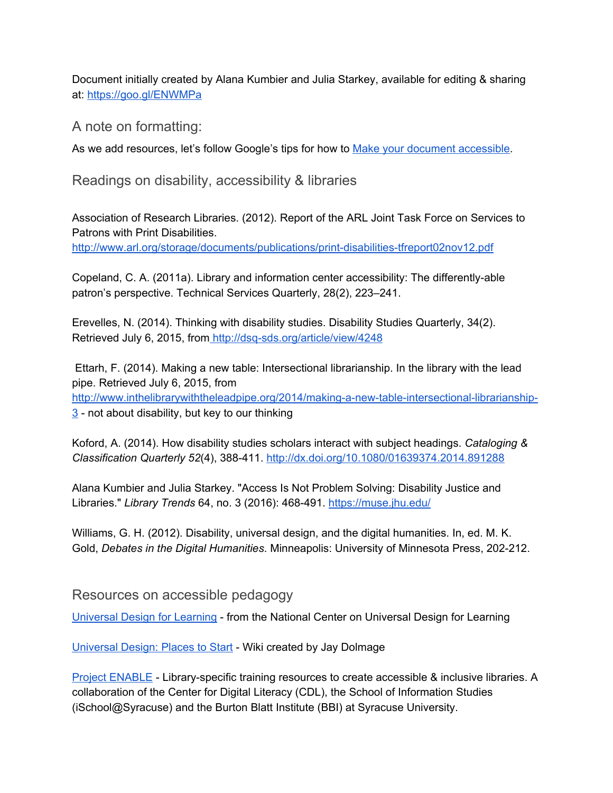Document initially created by Alana Kumbier and Julia Starkey, available for editing & sharing at: <https://goo.gl/ENWMPa>

A note on formatting:

As we add resources, let's follow Google's tips for how to Make your document [accessible.](https://support.google.com/docs/answer/6199477?hl=en&ref_topic=6039805)

Readings on disability, accessibility & libraries

Association of Research Libraries. (2012). Report of the ARL Joint Task Force on Services to Patrons with Print Disabilities.

http://www.arl.org/storage/documents/publications/print-disabilities-tfreport02nov12.pdf

Copeland, C. A. (2011a). Library and information center accessibility: The differently-able patron's perspective. Technical Services Quarterly, 28(2), 223–241.

Erevelles, N. (2014). Thinking with disability studies. Disability Studies Quarterly, 34(2). Retrieved July 6, 2015, from http://dsq-sds.org/article/view/4248

Ettarh, F. (2014). Making a new table: Intersectional librarianship. In the library with the lead pipe. Retrieved July 6, 2015, fro[m](http://www.inthelibrarywiththeleadpipe.org/2014/making-a-new-table-intersectional-librarianship-3) http://www.inthelibrarywiththeleadpipe.org/2014/making-a-new-table-intersectional-librarianship- $3$  - not about disability, but key to our thinking

Koford, A. (2014). How disability studies scholars interact with subject headings. *Cataloging & Classification Quarterly 52*(4), 388411. <http://dx.doi.org/10.1080/01639374.2014.891288>

Alana Kumbier and Julia Starkey. "Access Is Not Problem Solving: Disability Justice and Libraries." *Library Trends* 64, no. 3 (2016): 468491. <https://muse.jhu.edu/>

Williams, G. H. (2012). Disability, universal design, and the digital humanities. In, ed. M. K. Gold, *Debates in the Digital Humanities*. Minneapolis: University of Minnesota Press, 202212.

Resources on accessible pedagogy

[Universal](http://www.udlcenter.org/aboutudl/whatisudl) Design for Learning from the National Center on Universal Design for Learning

[Universal](http://universaldesignideas.pbworks.com/w/page/97590854/FrontPage) Design: Places to Start - Wiki created by Jay Dolmage

Project [ENABLE](http://projectenable.syr.edu/) - Library-specific training resources to create accessible & inclusive libraries. A collaboration of the Center for Digital Literacy (CDL), the School of Information Studies (iSchool@Syracuse) and the Burton Blatt Institute (BBI) at Syracuse University.